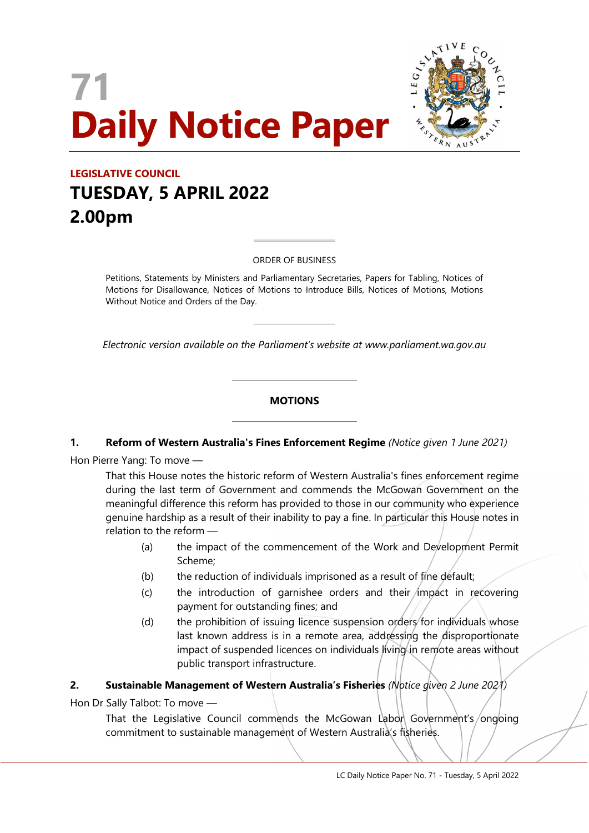# 71 Daily Notice Paper



# LEGISLATIVE COUNCIL TUESDAY, 5 APRIL 2022 2.00pm

ORDER OF BUSINESS

 $\overline{a}$ 

 $\overline{a}$ 

 $\overline{a}$ 

 $\overline{a}$ 

Petitions, Statements by Ministers and Parliamentary Secretaries, Papers for Tabling, Notices of Motions for Disallowance, Notices of Motions to Introduce Bills, Notices of Motions, Motions Without Notice and Orders of the Day.

Electronic version available on the Parliament's website at www.parliament.wa.gov.au

## **MOTIONS**

#### 1. Reform of Western Australia's Fines Enforcement Regime (Notice given 1 June 2021)

Hon Pierre Yang: To move —

That this House notes the historic reform of Western Australia's fines enforcement regime during the last term of Government and commends the McGowan Government on the meaningful difference this reform has provided to those in our community who experience genuine hardship as a result of their inability to pay a fine. In particular this House notes in relation to the reform —

- (a) the impact of the commencement of the Work and Development Permit Scheme;
- (b) the reduction of individuals imprisoned as a result of fine default;
- $(c)$  the introduction of garnishee orders and their impact in recovering payment for outstanding fines; and
- (d) the prohibition of issuing licence suspension orders for individuals whose last known address is in a remote area, addressing the disproportionate impact of suspended licences on individuals living in remote areas without public transport infrastructure.

# 2. Sustainable Management of Western Australia's Fisheries (Notice given 2 June 2021)

Hon Dr Sally Talbot: To move —

That the Legislative Council commends the McGowan Labon Government's/ongoing commitment to sustainable management of Western Australia's fisheries.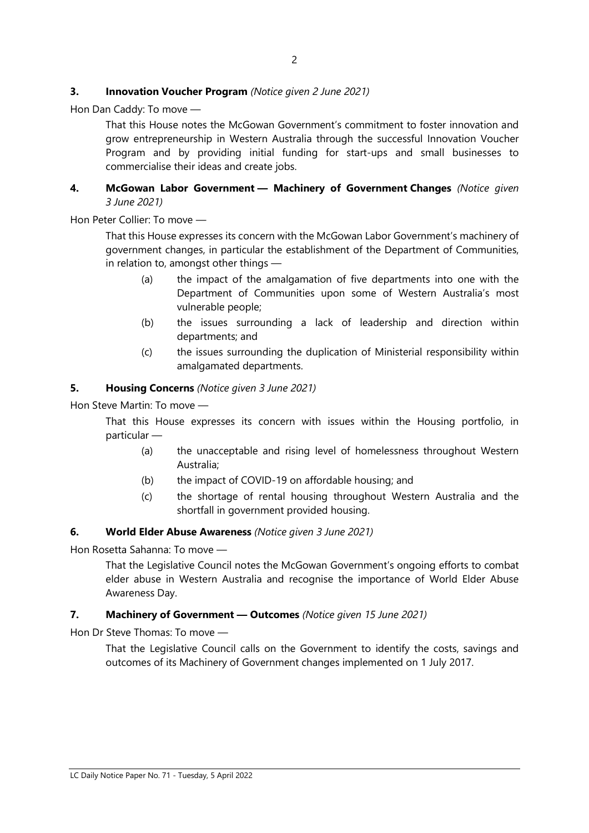#### **3.** Innovation Voucher Program (Notice given 2 June 2021)

Hon Dan Caddy: To move —

That this House notes the McGowan Government's commitment to foster innovation and grow entrepreneurship in Western Australia through the successful Innovation Voucher Program and by providing initial funding for start-ups and small businesses to commercialise their ideas and create jobs.

#### 4. McGowan Labor Government - Machinery of Government Changes (Notice given 3 June 2021)

Hon Peter Collier: To move —

That this House expresses its concern with the McGowan Labor Government's machinery of government changes, in particular the establishment of the Department of Communities, in relation to, amongst other things —

- (a) the impact of the amalgamation of five departments into one with the Department of Communities upon some of Western Australia's most vulnerable people;
- (b) the issues surrounding a lack of leadership and direction within departments; and
- (c) the issues surrounding the duplication of Ministerial responsibility within amalgamated departments.

#### 5. Housing Concerns (Notice given 3 June 2021)

Hon Steve Martin: To move —

That this House expresses its concern with issues within the Housing portfolio, in particular —

- (a) the unacceptable and rising level of homelessness throughout Western Australia;
- (b) the impact of COVID-19 on affordable housing; and
- (c) the shortage of rental housing throughout Western Australia and the shortfall in government provided housing.

#### 6. World Elder Abuse Awareness (Notice given 3 June 2021)

Hon Rosetta Sahanna: To move —

That the Legislative Council notes the McGowan Government's ongoing efforts to combat elder abuse in Western Australia and recognise the importance of World Elder Abuse Awareness Day.

#### 7. Machinery of Government - Outcomes (Notice given 15 June 2021)

Hon Dr Steve Thomas: To move —

That the Legislative Council calls on the Government to identify the costs, savings and outcomes of its Machinery of Government changes implemented on 1 July 2017.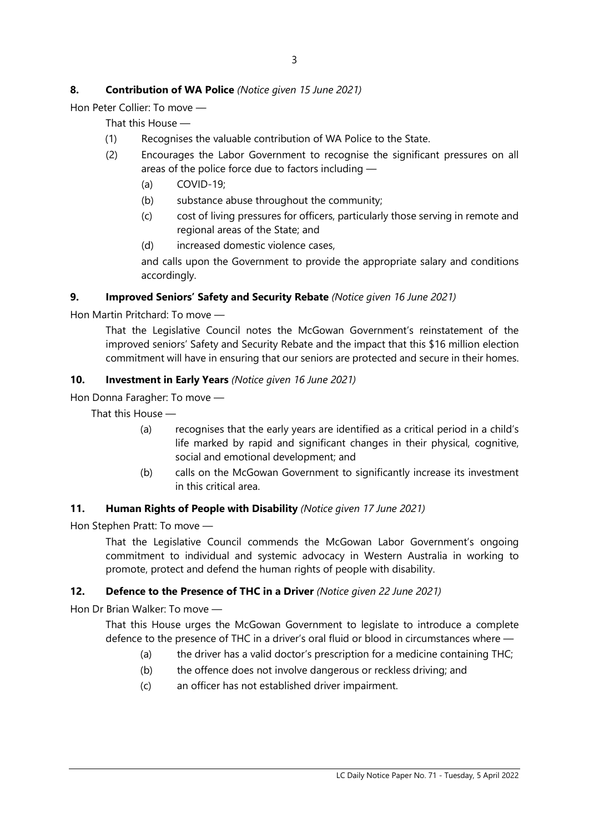# 8. Contribution of WA Police (Notice given 15 June 2021)

Hon Peter Collier: To move —

That this House —

- (1) Recognises the valuable contribution of WA Police to the State.
- (2) Encourages the Labor Government to recognise the significant pressures on all areas of the police force due to factors including —
	- (a) COVID-19;
	- (b) substance abuse throughout the community;
	- (c) cost of living pressures for officers, particularly those serving in remote and regional areas of the State; and
	- (d) increased domestic violence cases,

and calls upon the Government to provide the appropriate salary and conditions accordingly.

## 9. Improved Seniors' Safety and Security Rebate (Notice given 16 June 2021)

Hon Martin Pritchard: To move —

That the Legislative Council notes the McGowan Government's reinstatement of the improved seniors' Safety and Security Rebate and the impact that this \$16 million election commitment will have in ensuring that our seniors are protected and secure in their homes.

## 10. Investment in Early Years (Notice given 16 June 2021)

Hon Donna Faragher: To move —

That this House —

- (a) recognises that the early years are identified as a critical period in a child's life marked by rapid and significant changes in their physical, cognitive, social and emotional development; and
- (b) calls on the McGowan Government to significantly increase its investment in this critical area.

#### 11. Human Rights of People with Disability (Notice given 17 June 2021)

Hon Stephen Pratt: To move —

That the Legislative Council commends the McGowan Labor Government's ongoing commitment to individual and systemic advocacy in Western Australia in working to promote, protect and defend the human rights of people with disability.

# 12. Defence to the Presence of THC in a Driver (Notice given 22 June 2021)

Hon Dr Brian Walker: To move —

That this House urges the McGowan Government to legislate to introduce a complete defence to the presence of THC in a driver's oral fluid or blood in circumstances where —

- (a) the driver has a valid doctor's prescription for a medicine containing THC;
- (b) the offence does not involve dangerous or reckless driving; and
- (c) an officer has not established driver impairment.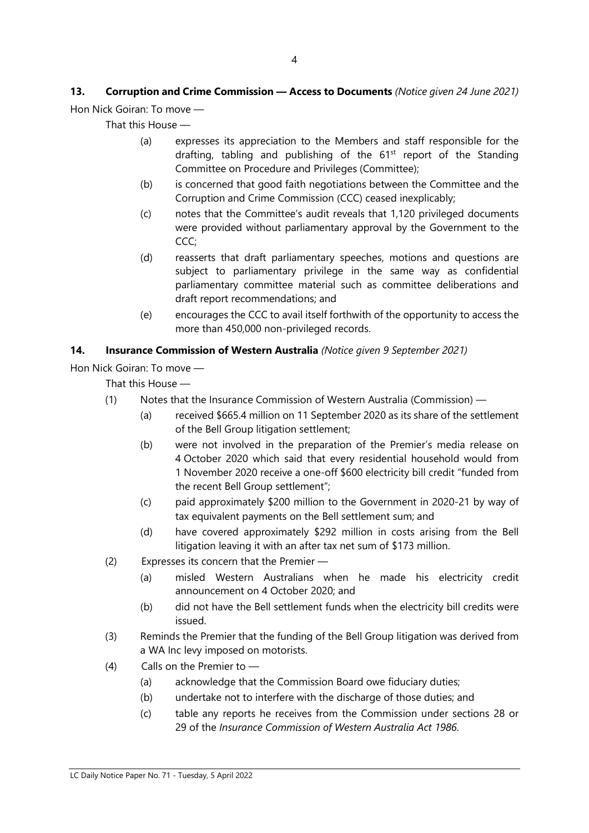# 13. Corruption and Crime Commission - Access to Documents (Notice given 24 June 2021) Hon Nick Goiran: To move —

That this House —

- (a) expresses its appreciation to the Members and staff responsible for the drafting, tabling and publishing of the  $61<sup>st</sup>$  report of the Standing Committee on Procedure and Privileges (Committee);
- (b) is concerned that good faith negotiations between the Committee and the Corruption and Crime Commission (CCC) ceased inexplicably;
- (c) notes that the Committee's audit reveals that 1,120 privileged documents were provided without parliamentary approval by the Government to the CCC;
- (d) reasserts that draft parliamentary speeches, motions and questions are subject to parliamentary privilege in the same way as confidential parliamentary committee material such as committee deliberations and draft report recommendations; and
- (e) encourages the CCC to avail itself forthwith of the opportunity to access the more than 450,000 non-privileged records.

# 14. Insurance Commission of Western Australia (Notice given 9 September 2021)

Hon Nick Goiran: To move —

That this House —

- (1) Notes that the Insurance Commission of Western Australia (Commission)
	- (a) received \$665.4 million on 11 September 2020 as its share of the settlement of the Bell Group litigation settlement;
	- (b) were not involved in the preparation of the Premier's media release on 4 October 2020 which said that every residential household would from 1 November 2020 receive a one-off \$600 electricity bill credit "funded from the recent Bell Group settlement";
	- (c) paid approximately \$200 million to the Government in 2020-21 by way of tax equivalent payments on the Bell settlement sum; and
	- (d) have covered approximately \$292 million in costs arising from the Bell litigation leaving it with an after tax net sum of \$173 million.
- (2) Expresses its concern that the Premier
	- (a) misled Western Australians when he made his electricity credit announcement on 4 October 2020; and
	- (b) did not have the Bell settlement funds when the electricity bill credits were issued.
- (3) Reminds the Premier that the funding of the Bell Group litigation was derived from a WA Inc levy imposed on motorists.
- (4) Calls on the Premier to
	- (a) acknowledge that the Commission Board owe fiduciary duties;
	- (b) undertake not to interfere with the discharge of those duties; and
	- (c) table any reports he receives from the Commission under sections 28 or 29 of the Insurance Commission of Western Australia Act 1986.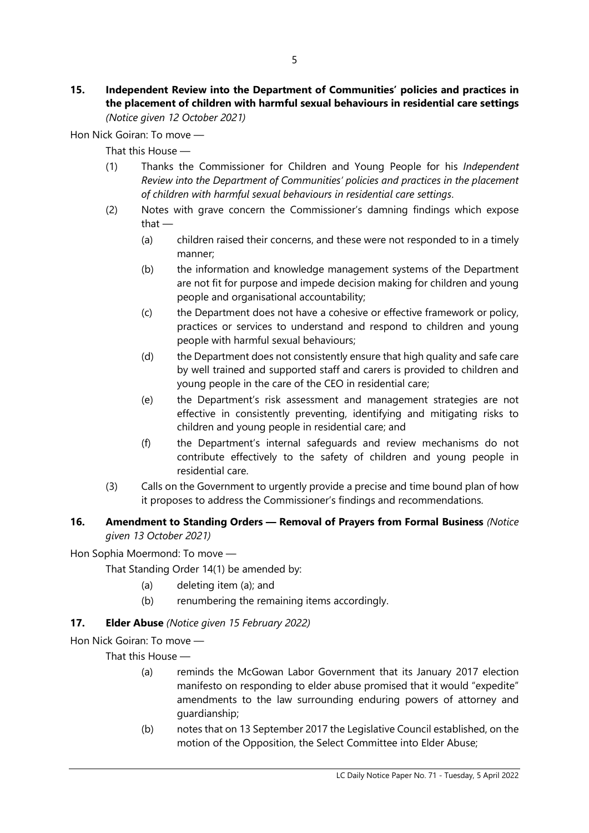#### 15. Independent Review into the Department of Communities' policies and practices in the placement of children with harmful sexual behaviours in residential care settings (Notice given 12 October 2021)

Hon Nick Goiran: To move —

That this House —

- (1) Thanks the Commissioner for Children and Young People for his Independent Review into the Department of Communities' policies and practices in the placement of children with harmful sexual behaviours in residential care settings.
- (2) Notes with grave concern the Commissioner's damning findings which expose that —
	- (a) children raised their concerns, and these were not responded to in a timely manner;
	- (b) the information and knowledge management systems of the Department are not fit for purpose and impede decision making for children and young people and organisational accountability;
	- (c) the Department does not have a cohesive or effective framework or policy, practices or services to understand and respond to children and young people with harmful sexual behaviours;
	- (d) the Department does not consistently ensure that high quality and safe care by well trained and supported staff and carers is provided to children and young people in the care of the CEO in residential care;
	- (e) the Department's risk assessment and management strategies are not effective in consistently preventing, identifying and mitigating risks to children and young people in residential care; and
	- (f) the Department's internal safeguards and review mechanisms do not contribute effectively to the safety of children and young people in residential care.
- (3) Calls on the Government to urgently provide a precise and time bound plan of how it proposes to address the Commissioner's findings and recommendations.

# 16. Amendment to Standing Orders - Removal of Prayers from Formal Business (Notice given 13 October 2021)

Hon Sophia Moermond: To move —

That Standing Order 14(1) be amended by:

- (a) deleting item (a); and
- (b) renumbering the remaining items accordingly.

# 17. **Elder Abuse** (Notice given 15 February 2022)

Hon Nick Goiran: To move —

That this House —

- (a) reminds the McGowan Labor Government that its January 2017 election manifesto on responding to elder abuse promised that it would "expedite" amendments to the law surrounding enduring powers of attorney and guardianship;
- (b) notes that on 13 September 2017 the Legislative Council established, on the motion of the Opposition, the Select Committee into Elder Abuse;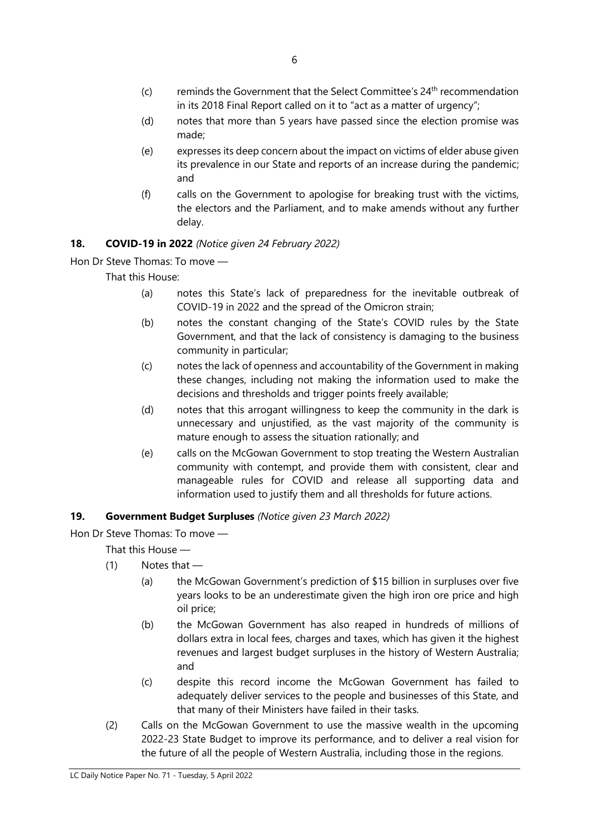- $(c)$  reminds the Government that the Select Committee's  $24<sup>th</sup>$  recommendation in its 2018 Final Report called on it to "act as a matter of urgency";
- (d) notes that more than 5 years have passed since the election promise was made;
- (e) expresses its deep concern about the impact on victims of elder abuse given its prevalence in our State and reports of an increase during the pandemic; and
- (f) calls on the Government to apologise for breaking trust with the victims, the electors and the Parliament, and to make amends without any further delay.

# 18. COVID-19 in 2022 (Notice given 24 February 2022)

Hon Dr Steve Thomas: To move —

That this House:

- (a) notes this State's lack of preparedness for the inevitable outbreak of COVID-19 in 2022 and the spread of the Omicron strain;
- (b) notes the constant changing of the State's COVID rules by the State Government, and that the lack of consistency is damaging to the business community in particular;
- (c) notes the lack of openness and accountability of the Government in making these changes, including not making the information used to make the decisions and thresholds and trigger points freely available;
- (d) notes that this arrogant willingness to keep the community in the dark is unnecessary and unjustified, as the vast majority of the community is mature enough to assess the situation rationally; and
- (e) calls on the McGowan Government to stop treating the Western Australian community with contempt, and provide them with consistent, clear and manageable rules for COVID and release all supporting data and information used to justify them and all thresholds for future actions.

# 19. Government Budget Surpluses (Notice given 23 March 2022)

Hon Dr Steve Thomas: To move —

That this House —

- $(1)$  Notes that
	- (a) the McGowan Government's prediction of \$15 billion in surpluses over five years looks to be an underestimate given the high iron ore price and high oil price;
	- (b) the McGowan Government has also reaped in hundreds of millions of dollars extra in local fees, charges and taxes, which has given it the highest revenues and largest budget surpluses in the history of Western Australia; and
	- (c) despite this record income the McGowan Government has failed to adequately deliver services to the people and businesses of this State, and that many of their Ministers have failed in their tasks.
- (2) Calls on the McGowan Government to use the massive wealth in the upcoming 2022-23 State Budget to improve its performance, and to deliver a real vision for the future of all the people of Western Australia, including those in the regions.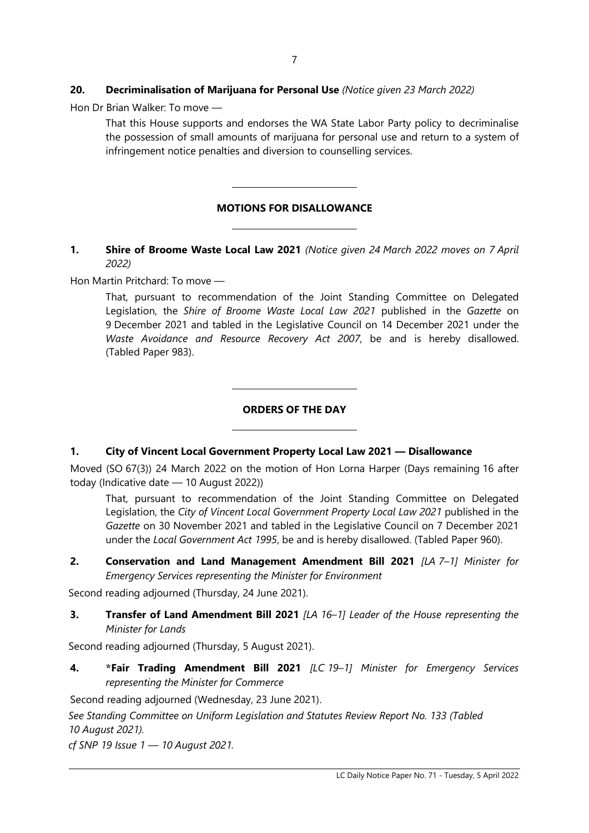## 20. Decriminalisation of Marijuana for Personal Use (Notice given 23 March 2022)

 $\overline{a}$ 

 $\overline{a}$ 

 $\overline{a}$ 

 $\overline{a}$ 

Hon Dr Brian Walker: To move —

That this House supports and endorses the WA State Labor Party policy to decriminalise the possession of small amounts of marijuana for personal use and return to a system of infringement notice penalties and diversion to counselling services.

# MOTIONS FOR DISALLOWANCE

## 1. Shire of Broome Waste Local Law 2021 (Notice given 24 March 2022 moves on 7 April 2022)

Hon Martin Pritchard: To move —

That, pursuant to recommendation of the Joint Standing Committee on Delegated Legislation, the Shire of Broome Waste Local Law 2021 published in the Gazette on 9 December 2021 and tabled in the Legislative Council on 14 December 2021 under the Waste Avoidance and Resource Recovery Act 2007, be and is hereby disallowed. (Tabled Paper 983).

## ORDERS OF THE DAY

#### 1. City of Vincent Local Government Property Local Law 2021 — Disallowance

Moved (SO 67(3)) 24 March 2022 on the motion of Hon Lorna Harper (Days remaining 16 after today (Indicative date — 10 August 2022))

That, pursuant to recommendation of the Joint Standing Committee on Delegated Legislation, the City of Vincent Local Government Property Local Law 2021 published in the Gazette on 30 November 2021 and tabled in the Legislative Council on 7 December 2021 under the Local Government Act 1995, be and is hereby disallowed. (Tabled Paper 960).

2. Conservation and Land Management Amendment Bill 2021 [LA 7-1] Minister for Emergency Services representing the Minister for Environment

Second reading adjourned (Thursday, 24 June 2021).

3. Transfer of Land Amendment Bill 2021 [LA 16-1] Leader of the House representing the Minister for Lands

Second reading adjourned (Thursday, 5 August 2021).

4. \*Fair Trading Amendment Bill 2021 [LC 19-1] Minister for Emergency Services representing the Minister for Commerce

Second reading adjourned (Wednesday, 23 June 2021).

See Standing Committee on Uniform Legislation and Statutes Review Report No. 133 (Tabled 10 August 2021).

cf SNP 19 Issue  $1 - 10$  August 2021.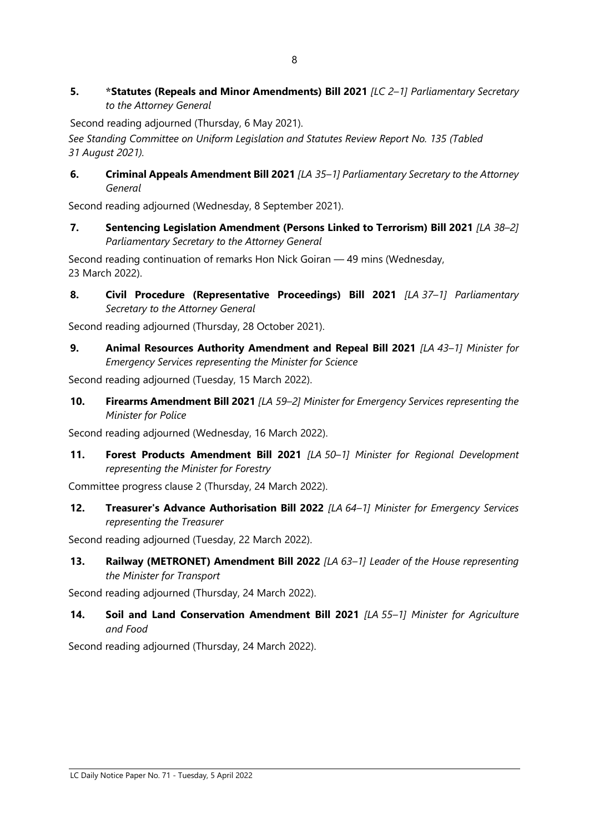5. \*Statutes (Repeals and Minor Amendments) Bill 2021 [LC 2-1] Parliamentary Secretary to the Attorney General

Second reading adjourned (Thursday, 6 May 2021).

See Standing Committee on Uniform Legislation and Statutes Review Report No. 135 (Tabled 31 August 2021).

6. Criminal Appeals Amendment Bill 2021 [LA 35-1] Parliamentary Secretary to the Attorney General

Second reading adjourned (Wednesday, 8 September 2021).

7. Sentencing Legislation Amendment (Persons Linked to Terrorism) Bill 2021 [LA 38-2] Parliamentary Secretary to the Attorney General

Second reading continuation of remarks Hon Nick Goiran — 49 mins (Wednesday, 23 March 2022).

8. Civil Procedure (Representative Proceedings) Bill 2021 [LA 37-1] Parliamentary Secretary to the Attorney General

Second reading adjourned (Thursday, 28 October 2021).

9. Animal Resources Authority Amendment and Repeal Bill 2021  $[LA 43-1]$  Minister for Emergency Services representing the Minister for Science

Second reading adjourned (Tuesday, 15 March 2022).

10. Firearms Amendment Bill 2021 [LA 59-2] Minister for Emergency Services representing the Minister for Police

Second reading adjourned (Wednesday, 16 March 2022).

11. Forest Products Amendment Bill 2021 [LA 50-1] Minister for Regional Development representing the Minister for Forestry

Committee progress clause 2 (Thursday, 24 March 2022).

12. Treasurer's Advance Authorisation Bill 2022 [LA 64-1] Minister for Emergency Services representing the Treasurer

Second reading adjourned (Tuesday, 22 March 2022).

13. Railway (METRONET) Amendment Bill 2022 [LA 63-1] Leader of the House representing the Minister for Transport

Second reading adjourned (Thursday, 24 March 2022).

14. Soil and Land Conservation Amendment Bill 2021 [LA 55-1] Minister for Agriculture and Food

Second reading adjourned (Thursday, 24 March 2022).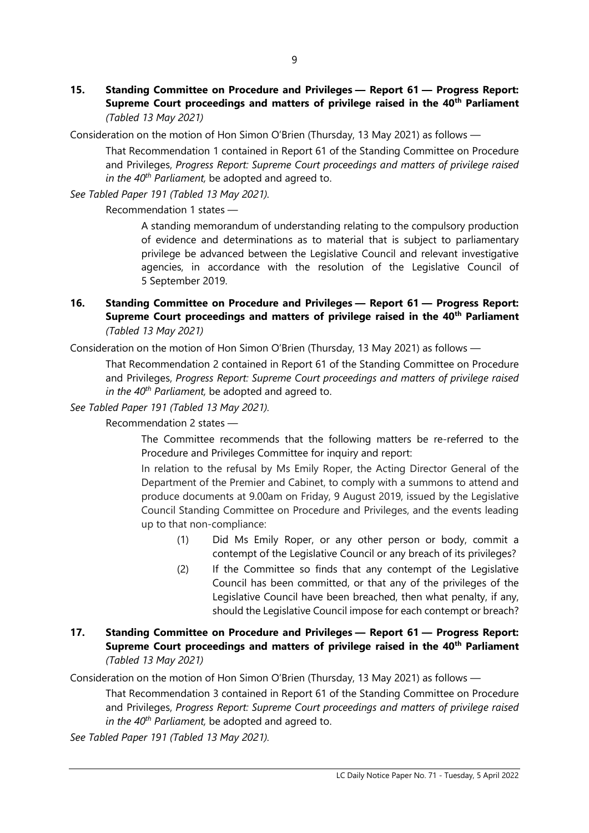15. Standing Committee on Procedure and Privileges — Report 61 — Progress Report: Supreme Court proceedings and matters of privilege raised in the 40<sup>th</sup> Parliament (Tabled 13 May 2021)

Consideration on the motion of Hon Simon O'Brien (Thursday, 13 May 2021) as follows —

That Recommendation 1 contained in Report 61 of the Standing Committee on Procedure and Privileges, Progress Report: Supreme Court proceedings and matters of privilege raised in the  $40<sup>th</sup>$  Parliament, be adopted and agreed to.

See Tabled Paper 191 (Tabled 13 May 2021).

Recommendation 1 states —

A standing memorandum of understanding relating to the compulsory production of evidence and determinations as to material that is subject to parliamentary privilege be advanced between the Legislative Council and relevant investigative agencies, in accordance with the resolution of the Legislative Council of 5 September 2019.

16. Standing Committee on Procedure and Privileges — Report 61 — Progress Report: Supreme Court proceedings and matters of privilege raised in the 40<sup>th</sup> Parliament (Tabled 13 May 2021)

Consideration on the motion of Hon Simon O'Brien (Thursday, 13 May 2021) as follows —

That Recommendation 2 contained in Report 61 of the Standing Committee on Procedure and Privileges, Progress Report: Supreme Court proceedings and matters of privilege raised in the  $40^{th}$  Parliament, be adopted and agreed to.

See Tabled Paper 191 (Tabled 13 May 2021).

Recommendation 2 states —

The Committee recommends that the following matters be re-referred to the Procedure and Privileges Committee for inquiry and report:

In relation to the refusal by Ms Emily Roper, the Acting Director General of the Department of the Premier and Cabinet, to comply with a summons to attend and produce documents at 9.00am on Friday, 9 August 2019, issued by the Legislative Council Standing Committee on Procedure and Privileges, and the events leading up to that non-compliance:

- (1) Did Ms Emily Roper, or any other person or body, commit a contempt of the Legislative Council or any breach of its privileges?
- (2) If the Committee so finds that any contempt of the Legislative Council has been committed, or that any of the privileges of the Legislative Council have been breached, then what penalty, if any, should the Legislative Council impose for each contempt or breach?

# 17. Standing Committee on Procedure and Privileges — Report 61 — Progress Report: Supreme Court proceedings and matters of privilege raised in the 40<sup>th</sup> Parliament (Tabled 13 May 2021)

Consideration on the motion of Hon Simon O'Brien (Thursday, 13 May 2021) as follows —

That Recommendation 3 contained in Report 61 of the Standing Committee on Procedure and Privileges, Progress Report: Supreme Court proceedings and matters of privilege raised in the  $40^{th}$  Parliament, be adopted and agreed to.

See Tabled Paper 191 (Tabled 13 May 2021).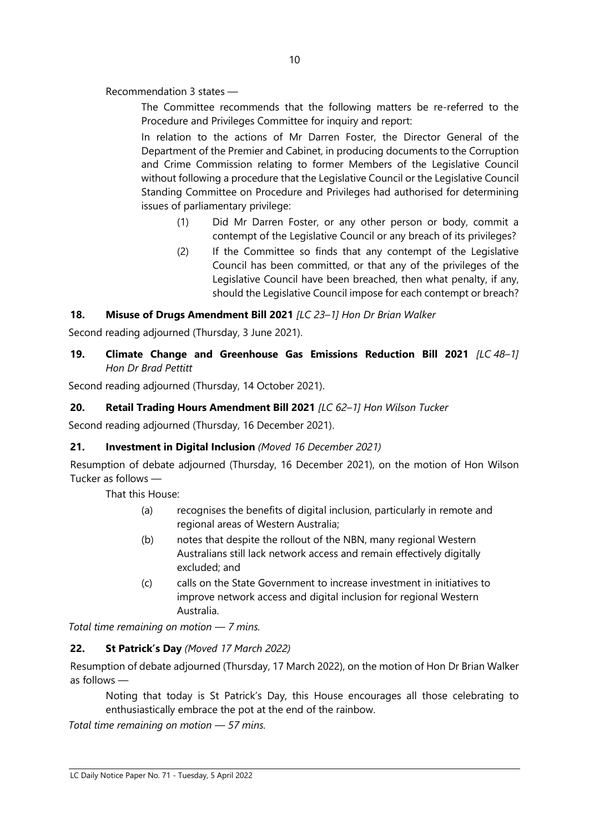Recommendation 3 states —

The Committee recommends that the following matters be re-referred to the Procedure and Privileges Committee for inquiry and report:

In relation to the actions of Mr Darren Foster, the Director General of the Department of the Premier and Cabinet, in producing documents to the Corruption and Crime Commission relating to former Members of the Legislative Council without following a procedure that the Legislative Council or the Legislative Council Standing Committee on Procedure and Privileges had authorised for determining issues of parliamentary privilege:

- (1) Did Mr Darren Foster, or any other person or body, commit a contempt of the Legislative Council or any breach of its privileges?
- (2) If the Committee so finds that any contempt of the Legislative Council has been committed, or that any of the privileges of the Legislative Council have been breached, then what penalty, if any, should the Legislative Council impose for each contempt or breach?

## 18. Misuse of Drugs Amendment Bill 2021 [LC 23-1] Hon Dr Brian Walker

Second reading adjourned (Thursday, 3 June 2021).

# 19. Climate Change and Greenhouse Gas Emissions Reduction Bill 2021 [LC 48-1] Hon Dr Brad Pettitt

Second reading adjourned (Thursday, 14 October 2021).

# 20. Retail Trading Hours Amendment Bill 2021 [LC 62-1] Hon Wilson Tucker

Second reading adjourned (Thursday, 16 December 2021).

#### 21. Investment in Digital Inclusion (Moved 16 December 2021)

Resumption of debate adjourned (Thursday, 16 December 2021), on the motion of Hon Wilson Tucker as follows —

That this House:

- (a) recognises the benefits of digital inclusion, particularly in remote and regional areas of Western Australia;
- (b) notes that despite the rollout of the NBN, many regional Western Australians still lack network access and remain effectively digitally excluded; and
- (c) calls on the State Government to increase investment in initiatives to improve network access and digital inclusion for regional Western Australia.

Total time remaining on motion — 7 mins.

#### 22. St Patrick's Day (Moved 17 March 2022)

Resumption of debate adjourned (Thursday, 17 March 2022), on the motion of Hon Dr Brian Walker as follows —

Noting that today is St Patrick's Day, this House encourages all those celebrating to enthusiastically embrace the pot at the end of the rainbow.

Total time remaining on motion — 57 mins.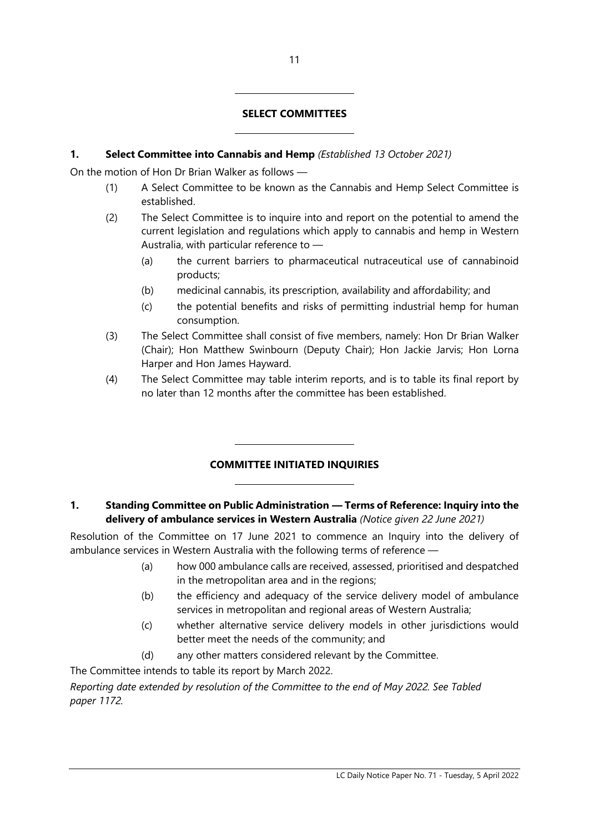## SELECT COMMITTEES

#### 1. Select Committee into Cannabis and Hemp (Established 13 October 2021)

 $\overline{a}$ 

 $\overline{a}$ 

 $\overline{a}$ 

 $\overline{a}$ 

On the motion of Hon Dr Brian Walker as follows —

- (1) A Select Committee to be known as the Cannabis and Hemp Select Committee is established.
- (2) The Select Committee is to inquire into and report on the potential to amend the current legislation and regulations which apply to cannabis and hemp in Western Australia, with particular reference to —
	- (a) the current barriers to pharmaceutical nutraceutical use of cannabinoid products;
	- (b) medicinal cannabis, its prescription, availability and affordability; and
	- (c) the potential benefits and risks of permitting industrial hemp for human consumption.
- (3) The Select Committee shall consist of five members, namely: Hon Dr Brian Walker (Chair); Hon Matthew Swinbourn (Deputy Chair); Hon Jackie Jarvis; Hon Lorna Harper and Hon James Hayward.
- (4) The Select Committee may table interim reports, and is to table its final report by no later than 12 months after the committee has been established.

# COMMITTEE INITIATED INQUIRIES

## 1. Standing Committee on Public Administration — Terms of Reference: Inquiry into the delivery of ambulance services in Western Australia (Notice given 22 June 2021)

Resolution of the Committee on 17 June 2021 to commence an Inquiry into the delivery of ambulance services in Western Australia with the following terms of reference —

- (a) how 000 ambulance calls are received, assessed, prioritised and despatched in the metropolitan area and in the regions;
- (b) the efficiency and adequacy of the service delivery model of ambulance services in metropolitan and regional areas of Western Australia;
- (c) whether alternative service delivery models in other jurisdictions would better meet the needs of the community; and
- (d) any other matters considered relevant by the Committee.

The Committee intends to table its report by March 2022.

Reporting date extended by resolution of the Committee to the end of May 2022. See Tabled paper 1172.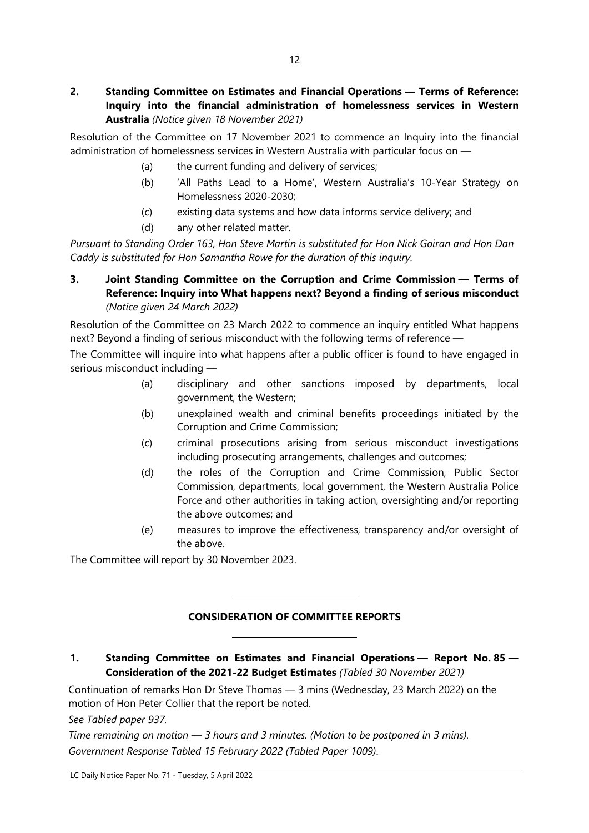# 2. Standing Committee on Estimates and Financial Operations — Terms of Reference: Inquiry into the financial administration of homelessness services in Western Australia (Notice given 18 November 2021)

Resolution of the Committee on 17 November 2021 to commence an Inquiry into the financial administration of homelessness services in Western Australia with particular focus on —

- (a) the current funding and delivery of services;
- (b) 'All Paths Lead to a Home', Western Australia's 10-Year Strategy on Homelessness 2020-2030;
- (c) existing data systems and how data informs service delivery; and
- (d) any other related matter.

Pursuant to Standing Order 163, Hon Steve Martin is substituted for Hon Nick Goiran and Hon Dan Caddy is substituted for Hon Samantha Rowe for the duration of this inquiry.

# 3. Joint Standing Committee on the Corruption and Crime Commission — Terms of Reference: Inquiry into What happens next? Beyond a finding of serious misconduct (Notice given 24 March 2022)

Resolution of the Committee on 23 March 2022 to commence an inquiry entitled What happens next? Beyond a finding of serious misconduct with the following terms of reference —

The Committee will inquire into what happens after a public officer is found to have engaged in serious misconduct including —

- (a) disciplinary and other sanctions imposed by departments, local government, the Western;
- (b) unexplained wealth and criminal benefits proceedings initiated by the Corruption and Crime Commission;
- (c) criminal prosecutions arising from serious misconduct investigations including prosecuting arrangements, challenges and outcomes;
- (d) the roles of the Corruption and Crime Commission, Public Sector Commission, departments, local government, the Western Australia Police Force and other authorities in taking action, oversighting and/or reporting the above outcomes; and
- (e) measures to improve the effectiveness, transparency and/or oversight of the above.

The Committee will report by 30 November 2023.

 $\overline{a}$ 

 $\overline{a}$ 

#### CONSIDERATION OF COMMITTEE REPORTS

#### 1. Standing Committee on Estimates and Financial Operations - Report No. 85 -Consideration of the 2021-22 Budget Estimates (Tabled 30 November 2021)

Continuation of remarks Hon Dr Steve Thomas — 3 mins (Wednesday, 23 March 2022) on the motion of Hon Peter Collier that the report be noted.

See Tabled paper 937.

Time remaining on motion — 3 hours and 3 minutes. (Motion to be postponed in 3 mins). Government Response Tabled 15 February 2022 (Tabled Paper 1009).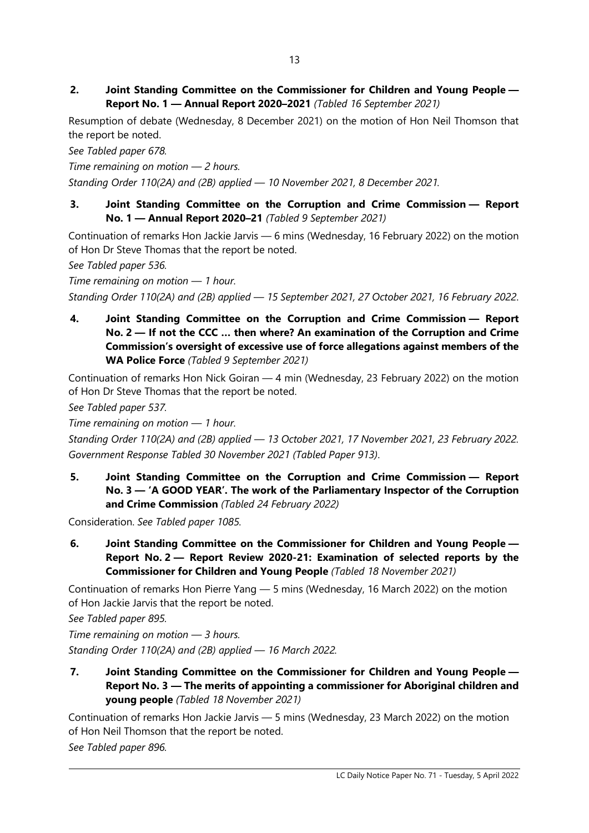2. Joint Standing Committee on the Commissioner for Children and Young People — Report No. 1 — Annual Report 2020–2021 (Tabled 16 September 2021)

Resumption of debate (Wednesday, 8 December 2021) on the motion of Hon Neil Thomson that the report be noted.

See Tabled paper 678.

Time remaining on motion — 2 hours. Standing Order 110(2A) and (2B) applied — 10 November 2021, 8 December 2021.

3. Joint Standing Committee on the Corruption and Crime Commission — Report No. 1 — Annual Report 2020–21 (Tabled 9 September 2021)

Continuation of remarks Hon Jackie Jarvis — 6 mins (Wednesday, 16 February 2022) on the motion of Hon Dr Steve Thomas that the report be noted.

See Tabled paper 536.

Time remaining on motion — 1 hour. Standing Order 110(2A) and (2B) applied — 15 September 2021, 27 October 2021, 16 February 2022.

4. Joint Standing Committee on the Corruption and Crime Commission — Report No. 2 — If not the CCC … then where? An examination of the Corruption and Crime Commission's oversight of excessive use of force allegations against members of the WA Police Force (Tabled 9 September 2021)

Continuation of remarks Hon Nick Goiran — 4 min (Wednesday, 23 February 2022) on the motion of Hon Dr Steve Thomas that the report be noted.

See Tabled paper 537.

Time remaining on motion — 1 hour.

Standing Order 110(2A) and (2B) applied — 13 October 2021, 17 November 2021, 23 February 2022. Government Response Tabled 30 November 2021 (Tabled Paper 913).

5. Joint Standing Committee on the Corruption and Crime Commission — Report No. 3 — 'A GOOD YEAR'. The work of the Parliamentary Inspector of the Corruption and Crime Commission (Tabled 24 February 2022)

Consideration. See Tabled paper 1085.

6. Joint Standing Committee on the Commissioner for Children and Young People — Report No. 2 — Report Review 2020-21: Examination of selected reports by the Commissioner for Children and Young People (Tabled 18 November 2021)

Continuation of remarks Hon Pierre Yang — 5 mins (Wednesday, 16 March 2022) on the motion of Hon Jackie Jarvis that the report be noted.

See Tabled paper 895.

Time remaining on motion — 3 hours. Standing Order 110(2A) and (2B) applied — 16 March 2022.

7. Joint Standing Committee on the Commissioner for Children and Young People — Report No. 3 — The merits of appointing a commissioner for Aboriginal children and young people (Tabled 18 November 2021)

Continuation of remarks Hon Jackie Jarvis — 5 mins (Wednesday, 23 March 2022) on the motion of Hon Neil Thomson that the report be noted.

See Tabled paper 896.